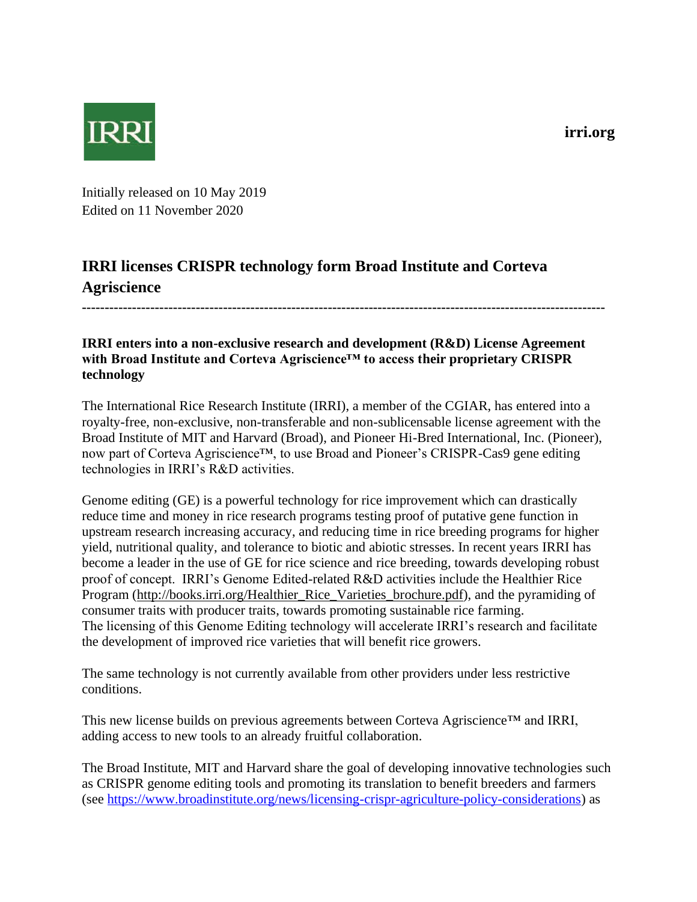**irri.org**



Initially released on 10 May 2019 Edited on 11 November 2020

## **IRRI licenses CRISPR technology form Broad Institute and Corteva Agriscience**

**-------------------------------------------------------------------------------------------------------------------**

## **IRRI enters into a non-exclusive research and development (R&D) License Agreement with Broad Institute and Corteva Agriscience™ to access their proprietary CRISPR technology**

The International Rice Research Institute (IRRI), a member of the CGIAR, has entered into a royalty-free, non-exclusive, non-transferable and non-sublicensable license agreement with the Broad Institute of MIT and Harvard (Broad), and Pioneer Hi-Bred International, Inc. (Pioneer), now part of Corteva Agriscience™, to use Broad and Pioneer's CRISPR-Cas9 gene editing technologies in IRRI's R&D activities.

Genome editing (GE) is a powerful technology for rice improvement which can drastically reduce time and money in rice research programs testing proof of putative gene function in upstream research increasing accuracy, and reducing time in rice breeding programs for higher yield, nutritional quality, and tolerance to biotic and abiotic stresses. In recent years IRRI has become a leader in the use of GE for rice science and rice breeding, towards developing robust proof of concept. IRRI's Genome Edited-related R&D activities include the Healthier Rice Program (http://books.irri.org/Healthier\_Rice\_Varieties\_brochure.pdf), and the pyramiding of consumer traits with producer traits, towards promoting sustainable rice farming. The licensing of this Genome Editing technology will accelerate IRRI's research and facilitate the development of improved rice varieties that will benefit rice growers.

The same technology is not currently available from other providers under less restrictive conditions.

This new license builds on previous agreements between Corteva Agriscience™ and IRRI, adding access to new tools to an already fruitful collaboration.

The Broad Institute, MIT and Harvard share the goal of developing innovative technologies such as CRISPR genome editing tools and promoting its translation to benefit breeders and farmers (see [https://www.broadinstitute.org/news/licensing-crispr-agriculture-policy-considerations\)](https://www.broadinstitute.org/news/licensing-crispr-agriculture-policy-considerations) as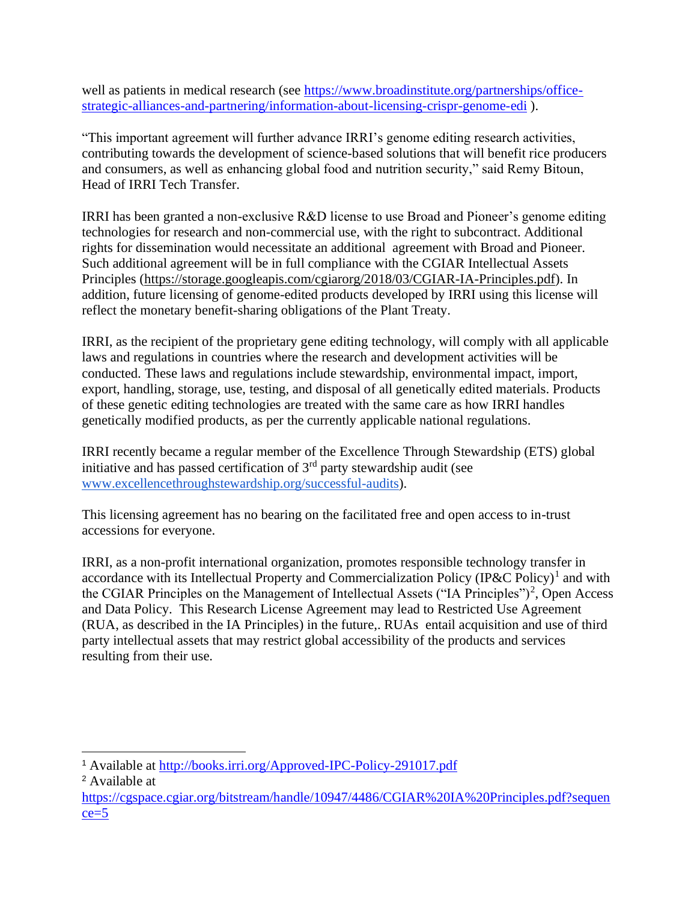well as patients in medical research (see [https://www.broadinstitute.org/partnerships/office](https://www.broadinstitute.org/partnerships/office-strategic-alliances-and-partnering/information-about-licensing-crispr-genome-edi)[strategic-alliances-and-partnering/information-about-licensing-crispr-genome-edi](https://www.broadinstitute.org/partnerships/office-strategic-alliances-and-partnering/information-about-licensing-crispr-genome-edi) ).

"This important agreement will further advance IRRI's genome editing research activities, contributing towards the development of science-based solutions that will benefit rice producers and consumers, as well as enhancing global food and nutrition security," said Remy Bitoun, Head of IRRI Tech Transfer.

IRRI has been granted a non-exclusive R&D license to use Broad and Pioneer's genome editing technologies for research and non-commercial use, with the right to subcontract. Additional rights for dissemination would necessitate an additional agreement with Broad and Pioneer. Such additional agreement will be in full compliance with the CGIAR Intellectual Assets Principles (https://storage.googleapis.com/cgiarorg/2018/03/CGIAR-IA-Principles.pdf). In addition, future licensing of genome-edited products developed by IRRI using this license will reflect the monetary benefit-sharing obligations of the Plant Treaty.

IRRI, as the recipient of the proprietary gene editing technology, will comply with all applicable laws and regulations in countries where the research and development activities will be conducted. These laws and regulations include stewardship, environmental impact, import, export, handling, storage, use, testing, and disposal of all genetically edited materials. Products of these genetic editing technologies are treated with the same care as how IRRI handles genetically modified products, as per the currently applicable national regulations.

IRRI recently became a regular member of the Excellence Through Stewardship (ETS) global initiative and has passed certification of  $3<sup>rd</sup>$  party stewardship audit (see [www.excellencethroughstewardship.org/successful-audits\)](https://www.excellencethroughstewardship.org/successful-audits).

This licensing agreement has no bearing on the facilitated free and open access to in-trust accessions for everyone.

IRRI, as a non-profit international organization, promotes responsible technology transfer in accordance with its Intellectual Property and Commercialization Policy  $(IP\&C$  Policy)<sup>1</sup> and with the CGIAR Principles on the Management of Intellectual Assets ("IA Principles")<sup>2</sup>, Open Access and Data Policy. This Research License Agreement may lead to Restricted Use Agreement (RUA, as described in the IA Principles) in the future,. RUAs entail acquisition and use of third party intellectual assets that may restrict global accessibility of the products and services resulting from their use.

<sup>1</sup> Available at<http://books.irri.org/Approved-IPC-Policy-291017.pdf>

<sup>2</sup> Available at

[https://cgspace.cgiar.org/bitstream/handle/10947/4486/CGIAR%20IA%20Principles.pdf?sequen](https://cgspace.cgiar.org/bitstream/handle/10947/4486/CGIAR%20IA%20Principles.pdf?sequence=5)  $ce=5$